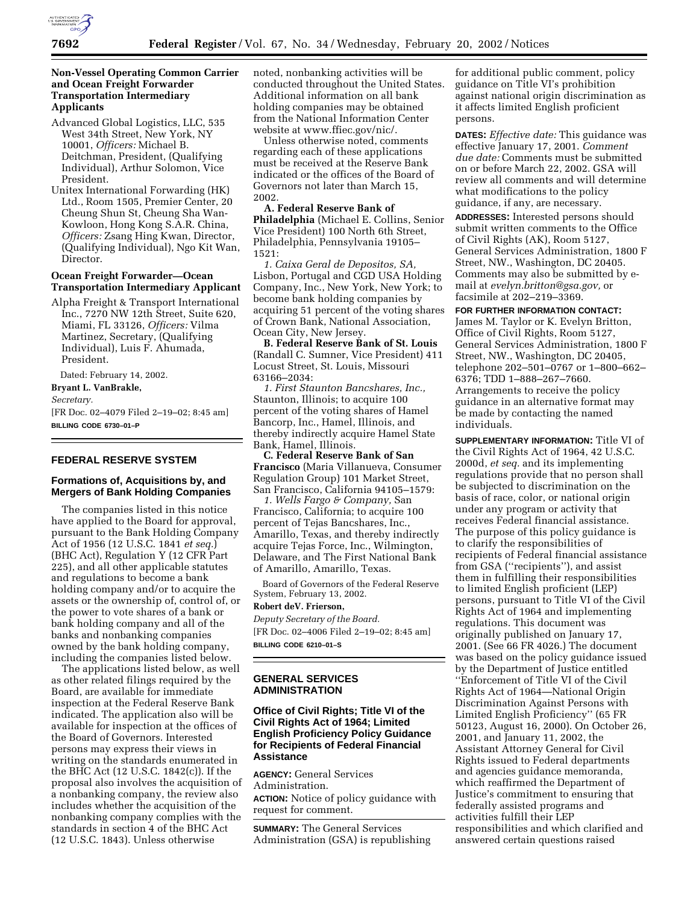

# **Non-Vessel Operating Common Carrier and Ocean Freight Forwarder Transportation Intermediary Applicants**

- Advanced Global Logistics, LLC, 535 West 34th Street, New York, NY 10001, *Officers:* Michael B. Deitchman, President, (Qualifying Individual), Arthur Solomon, Vice President.
- Unitex International Forwarding (HK) Ltd., Room 1505, Premier Center, 20 Cheung Shun St, Cheung Sha Wan-Kowloon, Hong Kong S.A.R. China, *Officers:* Zsang Hing Kwan, Director, (Qualifying Individual), Ngo Kit Wan, Director.

### **Ocean Freight Forwarder—Ocean Transportation Intermediary Applicant**

Alpha Freight & Transport International Inc., 7270 NW 12th Street, Suite 620, Miami, FL 33126, *Officers:* Vilma Martinez, Secretary, (Qualifying Individual), Luis F. Ahumada, President.

Dated: February 14, 2002.

**Bryant L. VanBrakle,**

#### *Secretary.*

[FR Doc. 02–4079 Filed 2–19–02; 8:45 am] **BILLING CODE 6730–01–P**

# **FEDERAL RESERVE SYSTEM**

# **Formations of, Acquisitions by, and Mergers of Bank Holding Companies**

The companies listed in this notice have applied to the Board for approval, pursuant to the Bank Holding Company Act of 1956 (12 U.S.C. 1841 *et seq.*) (BHC Act), Regulation Y (12 CFR Part 225), and all other applicable statutes and regulations to become a bank holding company and/or to acquire the assets or the ownership of, control of, or the power to vote shares of a bank or bank holding company and all of the banks and nonbanking companies owned by the bank holding company, including the companies listed below.

The applications listed below, as well as other related filings required by the Board, are available for immediate inspection at the Federal Reserve Bank indicated. The application also will be available for inspection at the offices of the Board of Governors. Interested persons may express their views in writing on the standards enumerated in the BHC Act (12 U.S.C. 1842(c)). If the proposal also involves the acquisition of a nonbanking company, the review also includes whether the acquisition of the nonbanking company complies with the standards in section 4 of the BHC Act (12 U.S.C. 1843). Unless otherwise

noted, nonbanking activities will be conducted throughout the United States. Additional information on all bank holding companies may be obtained from the National Information Center website at www.ffiec.gov/nic/.

Unless otherwise noted, comments regarding each of these applications must be received at the Reserve Bank indicated or the offices of the Board of Governors not later than March 15, 2002.

## **A. Federal Reserve Bank of Philadelphia** (Michael E. Collins, Senior Vice President) 100 North 6th Street, Philadelphia, Pennsylvania 19105– 1521:

*1. Caixa Geral de Depositos, SA,* Lisbon, Portugal and CGD USA Holding Company, Inc., New York, New York; to become bank holding companies by acquiring 51 percent of the voting shares of Crown Bank, National Association, Ocean City, New Jersey.

**B. Federal Reserve Bank of St. Louis** (Randall C. Sumner, Vice President) 411 Locust Street, St. Louis, Missouri 63166–2034:

*1. First Staunton Bancshares, Inc.,* Staunton, Illinois; to acquire 100 percent of the voting shares of Hamel Bancorp, Inc., Hamel, Illinois, and thereby indirectly acquire Hamel State Bank, Hamel, Illinois.

**C. Federal Reserve Bank of San Francisco** (Maria Villanueva, Consumer Regulation Group) 101 Market Street, San Francisco, California 94105–1579:

*1. Wells Fargo & Company,* San Francisco, California; to acquire 100 percent of Tejas Bancshares, Inc., Amarillo, Texas, and thereby indirectly acquire Tejas Force, Inc., Wilmington, Delaware, and The First National Bank of Amarillo, Amarillo, Texas.

Board of Governors of the Federal Reserve System, February 13, 2002.

# **Robert deV. Frierson,**

*Deputy Secretary of the Board.* [FR Doc. 02–4006 Filed 2–19–02; 8:45 am] **BILLING CODE 6210–01–S**

## **GENERAL SERVICES ADMINISTRATION**

### **Office of Civil Rights; Title VI of the Civil Rights Act of 1964; Limited English Proficiency Policy Guidance for Recipients of Federal Financial Assistance**

**AGENCY:** General Services Administration.

**ACTION:** Notice of policy guidance with request for comment.

**SUMMARY:** The General Services Administration (GSA) is republishing

for additional public comment, policy guidance on Title VI's prohibition against national origin discrimination as it affects limited English proficient persons.

**DATES:** *Effective date:* This guidance was effective January 17, 2001. *Comment due date:* Comments must be submitted on or before March 22, 2002. GSA will review all comments and will determine what modifications to the policy guidance, if any, are necessary.

**ADDRESSES:** Interested persons should submit written comments to the Office of Civil Rights (AK), Room 5127, General Services Administration, 1800 F Street, NW., Washington, DC 20405. Comments may also be submitted by email at *evelyn.britton@gsa.gov,* or facsimile at 202–219–3369.

**FOR FURTHER INFORMATION CONTACT:** James M. Taylor or K. Evelyn Britton, Office of Civil Rights, Room 5127, General Services Administration, 1800 F Street, NW., Washington, DC 20405, telephone 202–501–0767 or 1–800–662– 6376; TDD 1–888–267–7660. Arrangements to receive the policy guidance in an alternative format may be made by contacting the named individuals.

**SUPPLEMENTARY INFORMATION:** Title VI of the Civil Rights Act of 1964, 42 U.S.C. 2000d, *et seq.* and its implementing regulations provide that no person shall be subjected to discrimination on the basis of race, color, or national origin under any program or activity that receives Federal financial assistance. The purpose of this policy guidance is to clarify the responsibilities of recipients of Federal financial assistance from GSA (''recipients''), and assist them in fulfilling their responsibilities to limited English proficient (LEP) persons, pursuant to Title VI of the Civil Rights Act of 1964 and implementing regulations. This document was originally published on January 17, 2001. (See 66 FR 4026.) The document was based on the policy guidance issued by the Department of Justice entitled ''Enforcement of Title VI of the Civil Rights Act of 1964—National Origin Discrimination Against Persons with Limited English Proficiency'' (65 FR 50123, August 16, 2000). On October 26, 2001, and January 11, 2002, the Assistant Attorney General for Civil Rights issued to Federal departments and agencies guidance memoranda, which reaffirmed the Department of Justice's commitment to ensuring that federally assisted programs and activities fulfill their LEP responsibilities and which clarified and answered certain questions raised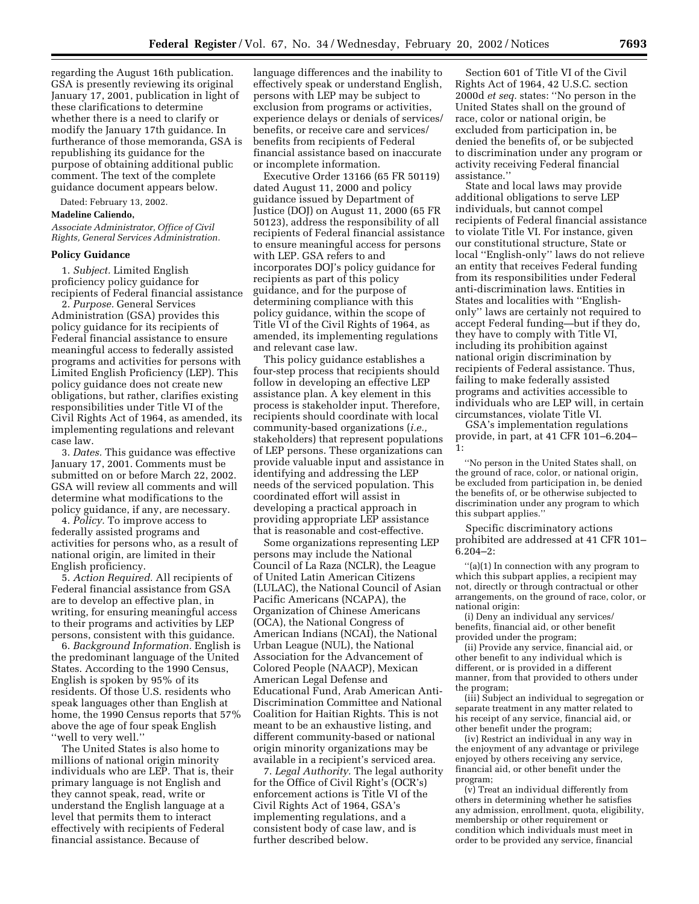regarding the August 16th publication. GSA is presently reviewing its original January 17, 2001, publication in light of these clarifications to determine whether there is a need to clarify or modify the January 17th guidance. In furtherance of those memoranda, GSA is republishing its guidance for the purpose of obtaining additional public comment. The text of the complete guidance document appears below.

Dated: February 13, 2002.

**Madeline Caliendo,**

*Associate Administrator, Office of Civil Rights, General Services Administration.*

#### **Policy Guidance**

1. *Subject.* Limited English proficiency policy guidance for recipients of Federal financial assistance

2. *Purpose.* General Services Administration (GSA) provides this policy guidance for its recipients of Federal financial assistance to ensure meaningful access to federally assisted programs and activities for persons with Limited English Proficiency (LEP). This policy guidance does not create new obligations, but rather, clarifies existing responsibilities under Title VI of the Civil Rights Act of 1964, as amended, its implementing regulations and relevant case law.

3. *Dates.* This guidance was effective January 17, 2001. Comments must be submitted on or before March 22, 2002. GSA will review all comments and will determine what modifications to the policy guidance, if any, are necessary.

4. *Policy.* To improve access to federally assisted programs and activities for persons who, as a result of national origin, are limited in their English proficiency.

5. *Action Required.* All recipients of Federal financial assistance from GSA are to develop an effective plan, in writing, for ensuring meaningful access to their programs and activities by LEP persons, consistent with this guidance.

6. *Background Information.* English is the predominant language of the United States. According to the 1990 Census, English is spoken by 95% of its residents. Of those U.S. residents who speak languages other than English at home, the 1990 Census reports that 57% above the age of four speak English ''well to very well.''

The United States is also home to millions of national origin minority individuals who are LEP. That is, their primary language is not English and they cannot speak, read, write or understand the English language at a level that permits them to interact effectively with recipients of Federal financial assistance. Because of

language differences and the inability to effectively speak or understand English, persons with LEP may be subject to exclusion from programs or activities, experience delays or denials of services/ benefits, or receive care and services/ benefits from recipients of Federal financial assistance based on inaccurate or incomplete information.

Executive Order 13166 (65 FR 50119) dated August 11, 2000 and policy guidance issued by Department of Justice (DOJ) on August 11, 2000 (65 FR 50123), address the responsibility of all recipients of Federal financial assistance to ensure meaningful access for persons with LEP. GSA refers to and incorporates DOJ's policy guidance for recipients as part of this policy guidance, and for the purpose of determining compliance with this policy guidance, within the scope of Title VI of the Civil Rights of 1964, as amended, its implementing regulations and relevant case law.

This policy guidance establishes a four-step process that recipients should follow in developing an effective LEP assistance plan. A key element in this process is stakeholder input. Therefore, recipients should coordinate with local community-based organizations (*i.e.,* stakeholders) that represent populations of LEP persons. These organizations can provide valuable input and assistance in identifying and addressing the LEP needs of the serviced population. This coordinated effort will assist in developing a practical approach in providing appropriate LEP assistance that is reasonable and cost-effective.

Some organizations representing LEP persons may include the National Council of La Raza (NCLR), the League of United Latin American Citizens (LULAC), the National Council of Asian Pacific Americans (NCAPA), the Organization of Chinese Americans (OCA), the National Congress of American Indians (NCAI), the National Urban League (NUL), the National Association for the Advancement of Colored People (NAACP), Mexican American Legal Defense and Educational Fund, Arab American Anti-Discrimination Committee and National Coalition for Haitian Rights. This is not meant to be an exhaustive listing, and different community-based or national origin minority organizations may be available in a recipient's serviced area.

7. *Legal Authority.* The legal authority for the Office of Civil Right's (OCR's) enforcement actions is Title VI of the Civil Rights Act of 1964, GSA's implementing regulations, and a consistent body of case law, and is further described below.

Section 601 of Title VI of the Civil Rights Act of 1964, 42 U.S.C. section 2000d *et seq.* states: ''No person in the United States shall on the ground of race, color or national origin, be excluded from participation in, be denied the benefits of, or be subjected to discrimination under any program or activity receiving Federal financial assistance.''

State and local laws may provide additional obligations to serve LEP individuals, but cannot compel recipients of Federal financial assistance to violate Title VI. For instance, given our constitutional structure, State or local ''English-only'' laws do not relieve an entity that receives Federal funding from its responsibilities under Federal anti-discrimination laws. Entities in States and localities with ''Englishonly'' laws are certainly not required to accept Federal funding—but if they do, they have to comply with Title VI, including its prohibition against national origin discrimination by recipients of Federal assistance. Thus, failing to make federally assisted programs and activities accessible to individuals who are LEP will, in certain circumstances, violate Title VI.

GSA's implementation regulations provide, in part, at 41 CFR 101–6.204– 1:

''No person in the United States shall, on the ground of race, color, or national origin, be excluded from participation in, be denied the benefits of, or be otherwise subjected to discrimination under any program to which this subpart applies.''

Specific discriminatory actions prohibited are addressed at 41 CFR 101– 6.204–2:

''(a)(1) In connection with any program to which this subpart applies, a recipient may not, directly or through contractual or other arrangements, on the ground of race, color, or national origin:

(i) Deny an individual any services/ benefits, financial aid, or other benefit provided under the program;

(ii) Provide any service, financial aid, or other benefit to any individual which is different, or is provided in a different manner, from that provided to others under the program;

(iii) Subject an individual to segregation or separate treatment in any matter related to his receipt of any service, financial aid, or other benefit under the program;

(iv) Restrict an individual in any way in the enjoyment of any advantage or privilege enjoyed by others receiving any service, financial aid, or other benefit under the program;

(v) Treat an individual differently from others in determining whether he satisfies any admission, enrollment, quota, eligibility, membership or other requirement or condition which individuals must meet in order to be provided any service, financial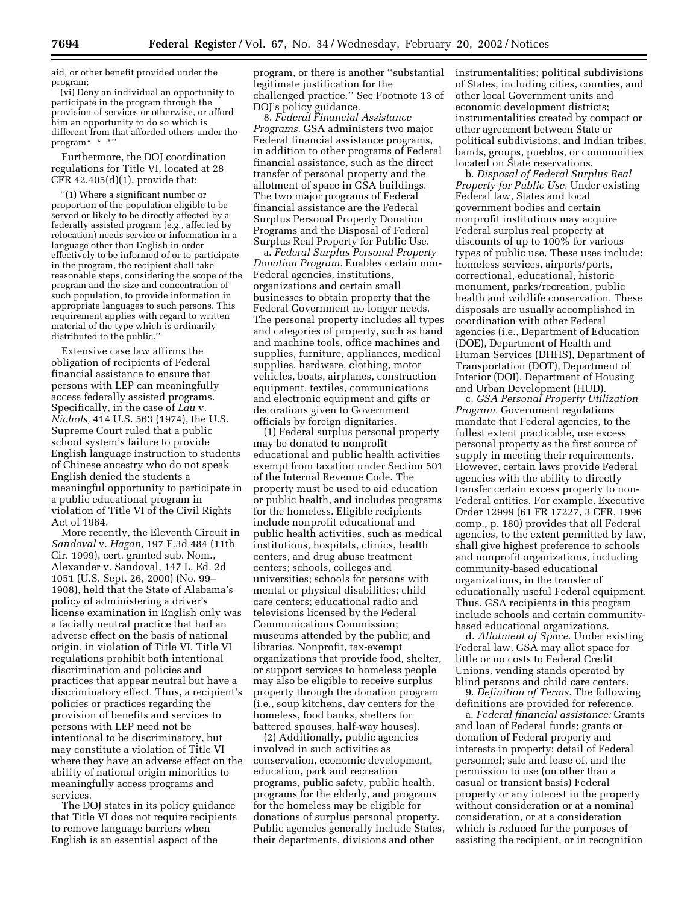aid, or other benefit provided under the program;

(vi) Deny an individual an opportunity to participate in the program through the provision of services or otherwise, or afford him an opportunity to do so which is different from that afforded others under the program\* \* \*''

Furthermore, the DOJ coordination regulations for Title VI, located at 28 CFR  $42.405(d)(1)$ , provide that:

''(1) Where a significant number or proportion of the population eligible to be served or likely to be directly affected by a federally assisted program (e.g., affected by relocation) needs service or information in a language other than English in order effectively to be informed of or to participate in the program, the recipient shall take reasonable steps, considering the scope of the program and the size and concentration of such population, to provide information in appropriate languages to such persons. This requirement applies with regard to written material of the type which is ordinarily distributed to the public.''

Extensive case law affirms the obligation of recipients of Federal financial assistance to ensure that persons with LEP can meaningfully access federally assisted programs. Specifically, in the case of *Lau* v. *Nichols,* 414 U.S. 563 (1974), the U.S. Supreme Court ruled that a public school system's failure to provide English language instruction to students of Chinese ancestry who do not speak English denied the students a meaningful opportunity to participate in a public educational program in violation of Title VI of the Civil Rights Act of 1964.

More recently, the Eleventh Circuit in *Sandoval* v. *Hagan,* 197 F.3d 484 (11th Cir. 1999), cert. granted sub. Nom., Alexander v. Sandoval, 147 L. Ed. 2d 1051 (U.S. Sept. 26, 2000) (No. 99– 1908), held that the State of Alabama's policy of administering a driver's license examination in English only was a facially neutral practice that had an adverse effect on the basis of national origin, in violation of Title VI. Title VI regulations prohibit both intentional discrimination and policies and practices that appear neutral but have a discriminatory effect. Thus, a recipient's policies or practices regarding the provision of benefits and services to persons with LEP need not be intentional to be discriminatory, but may constitute a violation of Title VI where they have an adverse effect on the ability of national origin minorities to meaningfully access programs and services.

The DOJ states in its policy guidance that Title VI does not require recipients to remove language barriers when English is an essential aspect of the

program, or there is another ''substantial legitimate justification for the challenged practice.'' See Footnote 13 of DOJ's policy guidance.

8. *Federal Financial Assistance Programs.* GSA administers two major Federal financial assistance programs, in addition to other programs of Federal financial assistance, such as the direct transfer of personal property and the allotment of space in GSA buildings. The two major programs of Federal financial assistance are the Federal Surplus Personal Property Donation Programs and the Disposal of Federal Surplus Real Property for Public Use.

a. *Federal Surplus Personal Property Donation Program.* Enables certain non-Federal agencies, institutions, organizations and certain small businesses to obtain property that the Federal Government no longer needs. The personal property includes all types and categories of property, such as hand and machine tools, office machines and supplies, furniture, appliances, medical supplies, hardware, clothing, motor vehicles, boats, airplanes, construction equipment, textiles, communications and electronic equipment and gifts or decorations given to Government officials by foreign dignitaries.

(1) Federal surplus personal property may be donated to nonprofit educational and public health activities exempt from taxation under Section 501 of the Internal Revenue Code. The property must be used to aid education or public health, and includes programs for the homeless. Eligible recipients include nonprofit educational and public health activities, such as medical institutions, hospitals, clinics, health centers, and drug abuse treatment centers; schools, colleges and universities; schools for persons with mental or physical disabilities; child care centers; educational radio and televisions licensed by the Federal Communications Commission; museums attended by the public; and libraries. Nonprofit, tax-exempt organizations that provide food, shelter, or support services to homeless people may also be eligible to receive surplus property through the donation program (i.e., soup kitchens, day centers for the homeless, food banks, shelters for battered spouses, half-way houses).

(2) Additionally, public agencies involved in such activities as conservation, economic development, education, park and recreation programs, public safety, public health, programs for the elderly, and programs for the homeless may be eligible for donations of surplus personal property. Public agencies generally include States, their departments, divisions and other

instrumentalities; political subdivisions of States, including cities, counties, and other local Government units and economic development districts; instrumentalities created by compact or other agreement between State or political subdivisions; and Indian tribes, bands, groups, pueblos, or communities located on State reservations.

b. *Disposal of Federal Surplus Real Property for Public Use.* Under existing Federal law, States and local government bodies and certain nonprofit institutions may acquire Federal surplus real property at discounts of up to 100% for various types of public use. These uses include: homeless services, airports/ports, correctional, educational, historic monument, parks/recreation, public health and wildlife conservation. These disposals are usually accomplished in coordination with other Federal agencies (i.e., Department of Education (DOE), Department of Health and Human Services (DHHS), Department of Transportation (DOT), Department of Interior (DOI), Department of Housing and Urban Development (HUD).

c. *GSA Personal Property Utilization Program.* Government regulations mandate that Federal agencies, to the fullest extent practicable, use excess personal property as the first source of supply in meeting their requirements. However, certain laws provide Federal agencies with the ability to directly transfer certain excess property to non-Federal entities. For example, Executive Order 12999 (61 FR 17227, 3 CFR, 1996 comp., p. 180) provides that all Federal agencies, to the extent permitted by law, shall give highest preference to schools and nonprofit organizations, including community-based educational organizations, in the transfer of educationally useful Federal equipment. Thus, GSA recipients in this program include schools and certain communitybased educational organizations.

d. *Allotment of Space.* Under existing Federal law, GSA may allot space for little or no costs to Federal Credit Unions, vending stands operated by blind persons and child care centers.

9. *Definition of Terms.* The following definitions are provided for reference.

a. *Federal financial assistance:* Grants and loan of Federal funds; grants or donation of Federal property and interests in property; detail of Federal personnel; sale and lease of, and the permission to use (on other than a casual or transient basis) Federal property or any interest in the property without consideration or at a nominal consideration, or at a consideration which is reduced for the purposes of assisting the recipient, or in recognition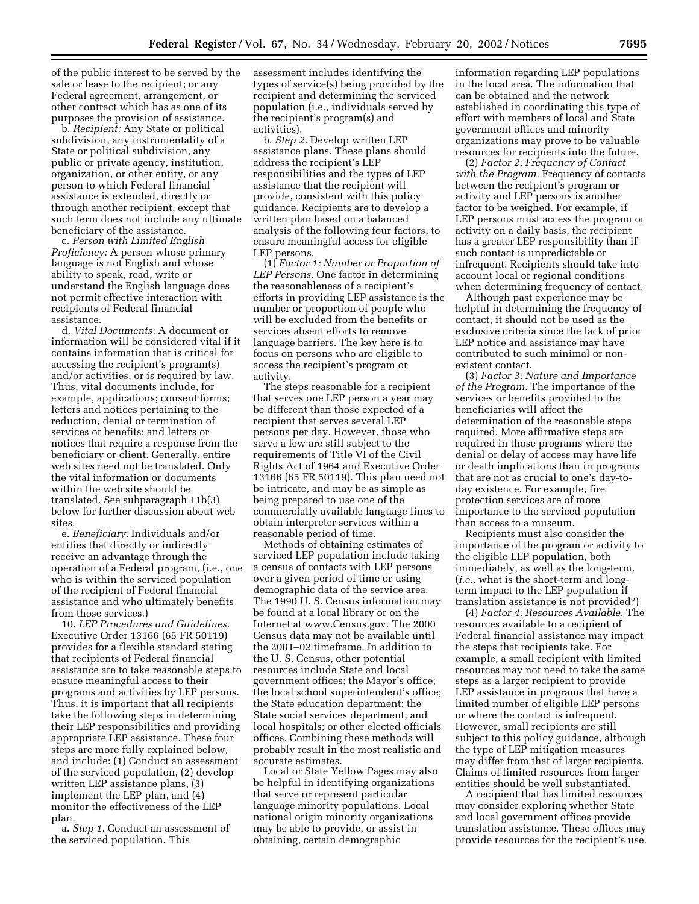of the public interest to be served by the sale or lease to the recipient; or any Federal agreement, arrangement, or other contract which has as one of its purposes the provision of assistance.

b. *Recipient:* Any State or political subdivision, any instrumentality of a State or political subdivision, any public or private agency, institution, organization, or other entity, or any person to which Federal financial assistance is extended, directly or through another recipient, except that such term does not include any ultimate beneficiary of the assistance.

c. *Person with Limited English Proficiency:* A person whose primary language is not English and whose ability to speak, read, write or understand the English language does not permit effective interaction with recipients of Federal financial assistance.

d. *Vital Documents:* A document or information will be considered vital if it contains information that is critical for accessing the recipient's program(s) and/or activities, or is required by law. Thus, vital documents include, for example, applications; consent forms; letters and notices pertaining to the reduction, denial or termination of services or benefits; and letters or notices that require a response from the beneficiary or client. Generally, entire web sites need not be translated. Only the vital information or documents within the web site should be translated. See subparagraph 11b(3) below for further discussion about web sites.

e. *Beneficiary:* Individuals and/or entities that directly or indirectly receive an advantage through the operation of a Federal program, (i.e., one who is within the serviced population of the recipient of Federal financial assistance and who ultimately benefits from those services.)

10. *LEP Procedures and Guidelines.* Executive Order 13166 (65 FR 50119) provides for a flexible standard stating that recipients of Federal financial assistance are to take reasonable steps to ensure meaningful access to their programs and activities by LEP persons. Thus, it is important that all recipients take the following steps in determining their LEP responsibilities and providing appropriate LEP assistance. These four steps are more fully explained below, and include: (1) Conduct an assessment of the serviced population, (2) develop written LEP assistance plans, (3) implement the LEP plan, and (4) monitor the effectiveness of the LEP plan.

a. *Step 1.* Conduct an assessment of the serviced population. This

assessment includes identifying the types of service(s) being provided by the recipient and determining the serviced population (i.e., individuals served by the recipient's program(s) and activities).

b. *Step 2.* Develop written LEP assistance plans. These plans should address the recipient's LEP responsibilities and the types of LEP assistance that the recipient will provide, consistent with this policy guidance. Recipients are to develop a written plan based on a balanced analysis of the following four factors, to ensure meaningful access for eligible LEP persons.

(1) *Factor 1: Number or Proportion of LEP Persons.* One factor in determining the reasonableness of a recipient's efforts in providing LEP assistance is the number or proportion of people who will be excluded from the benefits or services absent efforts to remove language barriers. The key here is to focus on persons who are eligible to access the recipient's program or activity.

The steps reasonable for a recipient that serves one LEP person a year may be different than those expected of a recipient that serves several LEP persons per day. However, those who serve a few are still subject to the requirements of Title VI of the Civil Rights Act of 1964 and Executive Order 13166 (65 FR 50119). This plan need not be intricate, and may be as simple as being prepared to use one of the commercially available language lines to obtain interpreter services within a reasonable period of time.

Methods of obtaining estimates of serviced LEP population include taking a census of contacts with LEP persons over a given period of time or using demographic data of the service area. The 1990 U. S. Census information may be found at a local library or on the Internet at www.Census.gov. The 2000 Census data may not be available until the 2001–02 timeframe. In addition to the U. S. Census, other potential resources include State and local government offices; the Mayor's office; the local school superintendent's office; the State education department; the State social services department, and local hospitals; or other elected officials offices. Combining these methods will probably result in the most realistic and accurate estimates.

Local or State Yellow Pages may also be helpful in identifying organizations that serve or represent particular language minority populations. Local national origin minority organizations may be able to provide, or assist in obtaining, certain demographic

information regarding LEP populations in the local area. The information that can be obtained and the network established in coordinating this type of effort with members of local and State government offices and minority organizations may prove to be valuable resources for recipients into the future.

(2) *Factor 2: Frequency of Contact with the Program.* Frequency of contacts between the recipient's program or activity and LEP persons is another factor to be weighed. For example, if LEP persons must access the program or activity on a daily basis, the recipient has a greater LEP responsibility than if such contact is unpredictable or infrequent. Recipients should take into account local or regional conditions when determining frequency of contact.

Although past experience may be helpful in determining the frequency of contact, it should not be used as the exclusive criteria since the lack of prior LEP notice and assistance may have contributed to such minimal or nonexistent contact.

(3) *Factor 3: Nature and Importance of the Program.* The importance of the services or benefits provided to the beneficiaries will affect the determination of the reasonable steps required. More affirmative steps are required in those programs where the denial or delay of access may have life or death implications than in programs that are not as crucial to one's day-today existence. For example, fire protection services are of more importance to the serviced population than access to a museum.

Recipients must also consider the importance of the program or activity to the eligible LEP population, both immediately, as well as the long-term. (*i.e.,* what is the short-term and longterm impact to the LEP population if translation assistance is not provided?)

(4) *Factor 4: Resources Available.* The resources available to a recipient of Federal financial assistance may impact the steps that recipients take. For example, a small recipient with limited resources may not need to take the same steps as a larger recipient to provide LEP assistance in programs that have a limited number of eligible LEP persons or where the contact is infrequent. However, small recipients are still subject to this policy guidance, although the type of LEP mitigation measures may differ from that of larger recipients. Claims of limited resources from larger entities should be well substantiated.

A recipient that has limited resources may consider exploring whether State and local government offices provide translation assistance. These offices may provide resources for the recipient's use.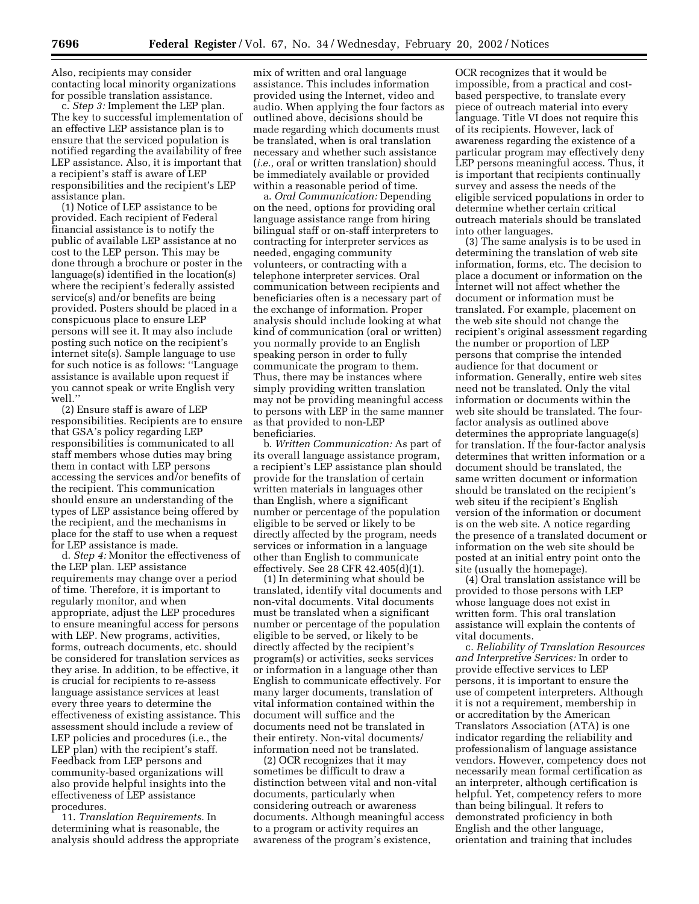Also, recipients may consider contacting local minority organizations for possible translation assistance.

c. *Step 3:* Implement the LEP plan. The key to successful implementation of an effective LEP assistance plan is to ensure that the serviced population is notified regarding the availability of free LEP assistance. Also, it is important that a recipient's staff is aware of LEP responsibilities and the recipient's LEP assistance plan.

(1) Notice of LEP assistance to be provided. Each recipient of Federal financial assistance is to notify the public of available LEP assistance at no cost to the LEP person. This may be done through a brochure or poster in the language(s) identified in the location(s) where the recipient's federally assisted service(s) and/or benefits are being provided. Posters should be placed in a conspicuous place to ensure LEP persons will see it. It may also include posting such notice on the recipient's internet site(s). Sample language to use for such notice is as follows: ''Language assistance is available upon request if you cannot speak or write English very well.''

(2) Ensure staff is aware of LEP responsibilities. Recipients are to ensure that GSA's policy regarding LEP responsibilities is communicated to all staff members whose duties may bring them in contact with LEP persons accessing the services and/or benefits of the recipient. This communication should ensure an understanding of the types of LEP assistance being offered by the recipient, and the mechanisms in place for the staff to use when a request for LEP assistance is made.

d. *Step 4:* Monitor the effectiveness of the LEP plan. LEP assistance requirements may change over a period of time. Therefore, it is important to regularly monitor, and when appropriate, adjust the LEP procedures to ensure meaningful access for persons with LEP. New programs, activities, forms, outreach documents, etc. should be considered for translation services as they arise. In addition, to be effective, it is crucial for recipients to re-assess language assistance services at least every three years to determine the effectiveness of existing assistance. This assessment should include a review of LEP policies and procedures (i.e., the LEP plan) with the recipient's staff. Feedback from LEP persons and community-based organizations will also provide helpful insights into the effectiveness of LEP assistance procedures.

11. *Translation Requirements.* In determining what is reasonable, the analysis should address the appropriate

mix of written and oral language assistance. This includes information provided using the Internet, video and audio. When applying the four factors as outlined above, decisions should be made regarding which documents must be translated, when is oral translation necessary and whether such assistance (*i.e.,* oral or written translation) should be immediately available or provided within a reasonable period of time.

a. *Oral Communication:* Depending on the need, options for providing oral language assistance range from hiring bilingual staff or on-staff interpreters to contracting for interpreter services as needed, engaging community volunteers, or contracting with a telephone interpreter services. Oral communication between recipients and beneficiaries often is a necessary part of the exchange of information. Proper analysis should include looking at what kind of communication (oral or written) you normally provide to an English speaking person in order to fully communicate the program to them. Thus, there may be instances where simply providing written translation may not be providing meaningful access to persons with LEP in the same manner as that provided to non-LEP beneficiaries.

b. *Written Communication:* As part of its overall language assistance program, a recipient's LEP assistance plan should provide for the translation of certain written materials in languages other than English, where a significant number or percentage of the population eligible to be served or likely to be directly affected by the program, needs services or information in a language other than English to communicate effectively. See 28 CFR 42.405(d)(1).

(1) In determining what should be translated, identify vital documents and non-vital documents. Vital documents must be translated when a significant number or percentage of the population eligible to be served, or likely to be directly affected by the recipient's program(s) or activities, seeks services or information in a language other than English to communicate effectively. For many larger documents, translation of vital information contained within the document will suffice and the documents need not be translated in their entirety. Non-vital documents/ information need not be translated.

(2) OCR recognizes that it may sometimes be difficult to draw a distinction between vital and non-vital documents, particularly when considering outreach or awareness documents. Although meaningful access to a program or activity requires an awareness of the program's existence,

OCR recognizes that it would be impossible, from a practical and costbased perspective, to translate every piece of outreach material into every language. Title VI does not require this of its recipients. However, lack of awareness regarding the existence of a particular program may effectively deny LEP persons meaningful access. Thus, it is important that recipients continually survey and assess the needs of the eligible serviced populations in order to determine whether certain critical outreach materials should be translated into other languages.

(3) The same analysis is to be used in determining the translation of web site information, forms, etc. The decision to place a document or information on the Internet will not affect whether the document or information must be translated. For example, placement on the web site should not change the recipient's original assessment regarding the number or proportion of LEP persons that comprise the intended audience for that document or information. Generally, entire web sites need not be translated. Only the vital information or documents within the web site should be translated. The fourfactor analysis as outlined above determines the appropriate language(s) for translation. If the four-factor analysis determines that written information or a document should be translated, the same written document or information should be translated on the recipient's web siteu if the recipient's English version of the information or document is on the web site. A notice regarding the presence of a translated document or information on the web site should be posted at an initial entry point onto the site (usually the homepage).

(4) Oral translation assistance will be provided to those persons with LEP whose language does not exist in written form. This oral translation assistance will explain the contents of vital documents.

c. *Reliability of Translation Resources and Interpretive Services:* In order to provide effective services to LEP persons, it is important to ensure the use of competent interpreters. Although it is not a requirement, membership in or accreditation by the American Translators Association (ATA) is one indicator regarding the reliability and professionalism of language assistance vendors. However, competency does not necessarily mean formal certification as an interpreter, although certification is helpful. Yet, competency refers to more than being bilingual. It refers to demonstrated proficiency in both English and the other language, orientation and training that includes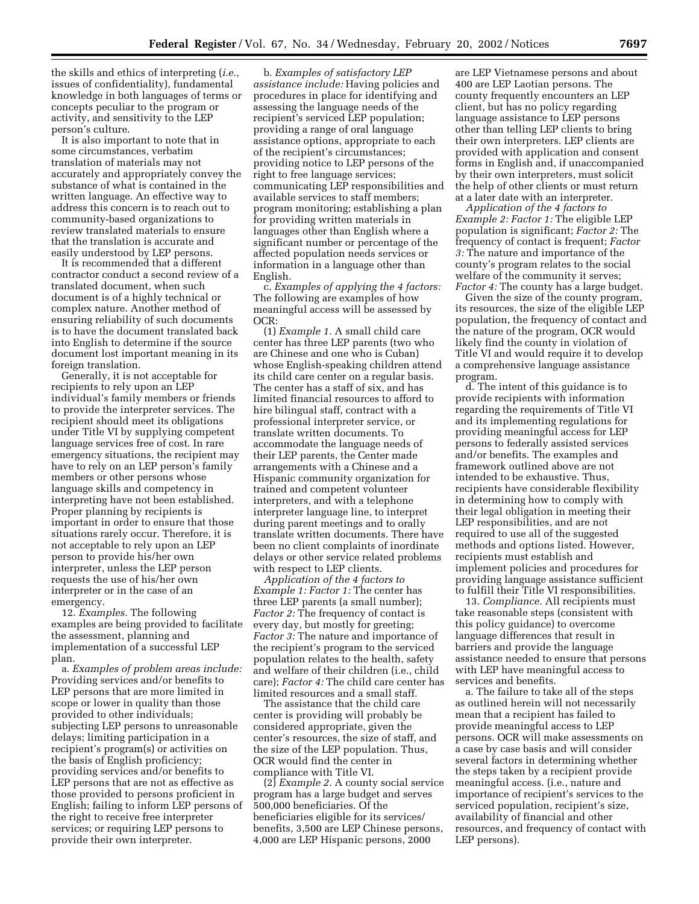the skills and ethics of interpreting (*i.e.,* issues of confidentiality), fundamental knowledge in both languages of terms or concepts peculiar to the program or activity, and sensitivity to the LEP person's culture.

It is also important to note that in some circumstances, verbatim translation of materials may not accurately and appropriately convey the substance of what is contained in the written language. An effective way to address this concern is to reach out to community-based organizations to review translated materials to ensure that the translation is accurate and easily understood by LEP persons.

It is recommended that a different contractor conduct a second review of a translated document, when such document is of a highly technical or complex nature. Another method of ensuring reliability of such documents is to have the document translated back into English to determine if the source document lost important meaning in its foreign translation.

Generally, it is not acceptable for recipients to rely upon an LEP individual's family members or friends to provide the interpreter services. The recipient should meet its obligations under Title VI by supplying competent language services free of cost. In rare emergency situations, the recipient may have to rely on an LEP person's family members or other persons whose language skills and competency in interpreting have not been established. Proper planning by recipients is important in order to ensure that those situations rarely occur. Therefore, it is not acceptable to rely upon an LEP person to provide his/her own interpreter, unless the LEP person requests the use of his/her own interpreter or in the case of an emergency.

12. *Examples.* The following examples are being provided to facilitate the assessment, planning and implementation of a successful LEP plan.

a. *Examples of problem areas include:* Providing services and/or benefits to LEP persons that are more limited in scope or lower in quality than those provided to other individuals; subjecting LEP persons to unreasonable delays; limiting participation in a recipient's program(s) or activities on the basis of English proficiency; providing services and/or benefits to LEP persons that are not as effective as those provided to persons proficient in English; failing to inform LEP persons of the right to receive free interpreter services; or requiring LEP persons to provide their own interpreter.

b. *Examples of satisfactory LEP assistance include:* Having policies and procedures in place for identifying and assessing the language needs of the recipient's serviced LEP population; providing a range of oral language assistance options, appropriate to each of the recipient's circumstances; providing notice to LEP persons of the right to free language services; communicating LEP responsibilities and available services to staff members; program monitoring; establishing a plan for providing written materials in languages other than English where a significant number or percentage of the affected population needs services or information in a language other than English.

c. *Examples of applying the 4 factors:* The following are examples of how meaningful access will be assessed by OCR:

(1) *Example 1.* A small child care center has three LEP parents (two who are Chinese and one who is Cuban) whose English-speaking children attend its child care center on a regular basis. The center has a staff of six, and has limited financial resources to afford to hire bilingual staff, contract with a professional interpreter service, or translate written documents. To accommodate the language needs of their LEP parents, the Center made arrangements with a Chinese and a Hispanic community organization for trained and competent volunteer interpreters, and with a telephone interpreter language line, to interpret during parent meetings and to orally translate written documents. There have been no client complaints of inordinate delays or other service related problems with respect to LEP clients.

*Application of the 4 factors to Example 1: Factor 1:* The center has three LEP parents (a small number); *Factor 2:* The frequency of contact is every day, but mostly for greeting; *Factor 3:* The nature and importance of the recipient's program to the serviced population relates to the health, safety and welfare of their children (i.e., child care); *Factor 4:* The child care center has limited resources and a small staff.

The assistance that the child care center is providing will probably be considered appropriate, given the center's resources, the size of staff, and the size of the LEP population. Thus, OCR would find the center in compliance with Title VI.

(2) *Example 2.* A county social service program has a large budget and serves 500,000 beneficiaries. Of the beneficiaries eligible for its services/ benefits, 3,500 are LEP Chinese persons, 4,000 are LEP Hispanic persons, 2000

are LEP Vietnamese persons and about 400 are LEP Laotian persons. The county frequently encounters an LEP client, but has no policy regarding language assistance to LEP persons other than telling LEP clients to bring their own interpreters. LEP clients are provided with application and consent forms in English and, if unaccompanied by their own interpreters, must solicit the help of other clients or must return at a later date with an interpreter.

*Application of the 4 factors to Example 2: Factor 1:* The eligible LEP population is significant; *Factor 2:* The frequency of contact is frequent; *Factor 3:* The nature and importance of the county's program relates to the social welfare of the community it serves; *Factor 4:* The county has a large budget.

Given the size of the county program, its resources, the size of the eligible LEP population, the frequency of contact and the nature of the program, OCR would likely find the county in violation of Title VI and would require it to develop a comprehensive language assistance program.

d. The intent of this guidance is to provide recipients with information regarding the requirements of Title VI and its implementing regulations for providing meaningful access for LEP persons to federally assisted services and/or benefits. The examples and framework outlined above are not intended to be exhaustive. Thus, recipients have considerable flexibility in determining how to comply with their legal obligation in meeting their LEP responsibilities, and are not required to use all of the suggested methods and options listed. However, recipients must establish and implement policies and procedures for providing language assistance sufficient to fulfill their Title VI responsibilities.

13. *Compliance.* All recipients must take reasonable steps (consistent with this policy guidance) to overcome language differences that result in barriers and provide the language assistance needed to ensure that persons with LEP have meaningful access to services and benefits.

a. The failure to take all of the steps as outlined herein will not necessarily mean that a recipient has failed to provide meaningful access to LEP persons. OCR will make assessments on a case by case basis and will consider several factors in determining whether the steps taken by a recipient provide meaningful access. (i.e., nature and importance of recipient's services to the serviced population, recipient's size, availability of financial and other resources, and frequency of contact with LEP persons).